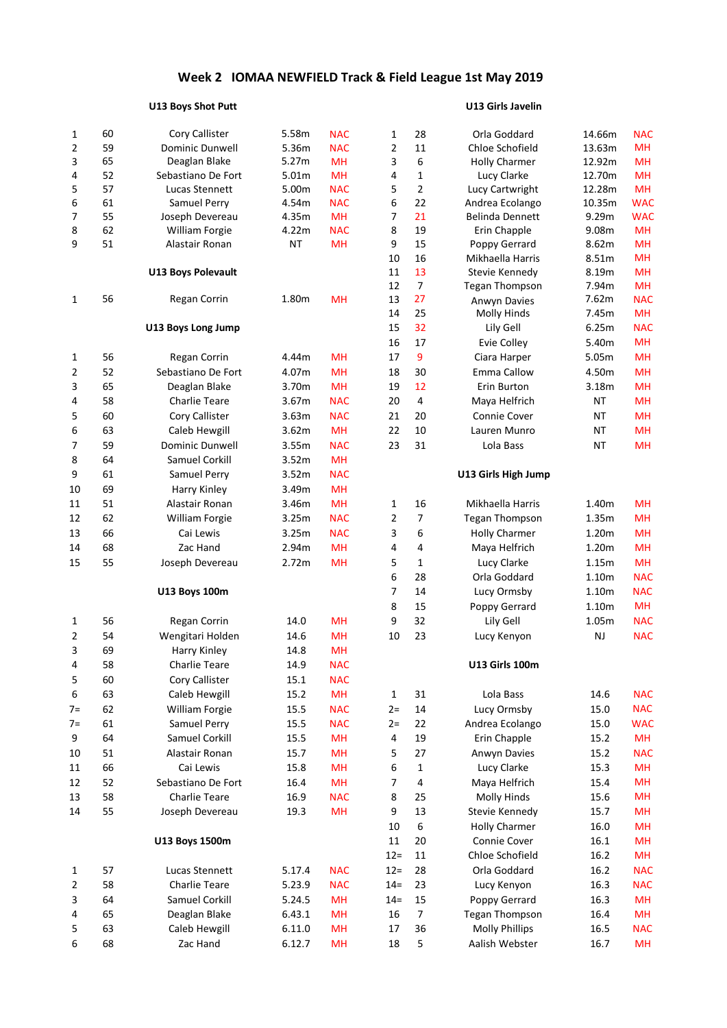## **Week 2 IOMAA NEWFIELD Track & Field League 1st May 2019**

## **U13 Boys Shot Putt U13 Girls Javelin**

| 1              | 60 | Cory Callister            | 5.58m     | <b>NAC</b> | 1              | 28               | Orla Goddard          | 14.66m    | <b>NAC</b> |
|----------------|----|---------------------------|-----------|------------|----------------|------------------|-----------------------|-----------|------------|
| $\overline{2}$ | 59 | Dominic Dunwell           | 5.36m     | <b>NAC</b> | $\overline{2}$ | 11               | Chloe Schofield       | 13.63m    | <b>MH</b>  |
| 3              | 65 | Deaglan Blake             | 5.27m     | <b>MH</b>  | 3              | 6                | <b>Holly Charmer</b>  | 12.92m    | <b>MH</b>  |
| 4              | 52 | Sebastiano De Fort        | 5.01m     | <b>MH</b>  | 4              | $\mathbf{1}$     | Lucy Clarke           | 12.70m    | <b>MH</b>  |
| 5              | 57 | Lucas Stennett            | 5.00m     | <b>NAC</b> | 5              | $\overline{2}$   | Lucy Cartwright       | 12.28m    | <b>MH</b>  |
| 6              | 61 | Samuel Perry              | 4.54m     | <b>NAC</b> | 6              | 22               | Andrea Ecolango       | 10.35m    | <b>WAC</b> |
| 7              | 55 | Joseph Devereau           | 4.35m     | <b>MH</b>  | 7              | 21               | Belinda Dennett       | 9.29m     | <b>WAC</b> |
| 8              | 62 | <b>William Forgie</b>     | 4.22m     | <b>NAC</b> | 8              | 19               | Erin Chapple          | 9.08m     | <b>MH</b>  |
| 9              | 51 | Alastair Ronan            | <b>NT</b> | <b>MH</b>  | 9              | 15               | Poppy Gerrard         | 8.62m     | <b>MH</b>  |
|                |    |                           |           |            | 10             | 16               | Mikhaella Harris      | 8.51m     | <b>MH</b>  |
|                |    | <b>U13 Boys Polevault</b> |           |            | 11             | 13               | Stevie Kennedy        | 8.19m     | <b>MH</b>  |
|                |    |                           |           |            | 12             | $\overline{7}$   | <b>Tegan Thompson</b> | 7.94m     | <b>MH</b>  |
| 1              | 56 | Regan Corrin              | 1.80m     | <b>MH</b>  | 13             | 27               | Anwyn Davies          | 7.62m     | <b>NAC</b> |
|                |    |                           |           |            | 14             | 25               | Molly Hinds           | 7.45m     | <b>MH</b>  |
|                |    | U13 Boys Long Jump        |           |            | 15             | 32               | Lily Gell             | 6.25m     | <b>NAC</b> |
|                |    |                           |           |            | 16             | 17               | Evie Colley           | 5.40m     | <b>MH</b>  |
| $\mathbf{1}$   | 56 | Regan Corrin              | 4.44m     | <b>MH</b>  | 17             | 9                | Ciara Harper          | 5.05m     | <b>MH</b>  |
| 2              | 52 | Sebastiano De Fort        | 4.07m     | <b>MH</b>  | 18             | 30               | Emma Callow           | 4.50m     | <b>MH</b>  |
| 3              | 65 | Deaglan Blake             | 3.70m     | <b>MH</b>  | 19             | 12               | Erin Burton           | 3.18m     | <b>MH</b>  |
| 4              | 58 | <b>Charlie Teare</b>      | 3.67m     | <b>NAC</b> | 20             | $\sqrt{4}$       | Maya Helfrich         | <b>NT</b> | <b>MH</b>  |
| 5              | 60 | Cory Callister            | 3.63m     | <b>NAC</b> | 21             | 20               | Connie Cover          | <b>NT</b> | <b>MH</b>  |
| 6              | 63 | Caleb Hewgill             | 3.62m     | <b>MH</b>  | 22             | 10               | Lauren Munro          | <b>NT</b> | <b>MH</b>  |
| 7              | 59 | <b>Dominic Dunwell</b>    | 3.55m     | <b>NAC</b> | 23             | 31               | Lola Bass             | <b>NT</b> | <b>MH</b>  |
| 8              | 64 | Samuel Corkill            | 3.52m     | <b>MH</b>  |                |                  |                       |           |            |
| 9              | 61 | Samuel Perry              | 3.52m     | <b>NAC</b> |                |                  | U13 Girls High Jump   |           |            |
| 10             | 69 | Harry Kinley              | 3.49m     | <b>MH</b>  |                |                  |                       |           |            |
| 11             | 51 | Alastair Ronan            | 3.46m     | <b>MH</b>  | 1              | 16               | Mikhaella Harris      | 1.40m     | <b>MH</b>  |
| 12             | 62 | William Forgie            | 3.25m     | <b>NAC</b> | 2              | $\overline{7}$   | <b>Tegan Thompson</b> | 1.35m     | <b>MH</b>  |
| 13             | 66 | Cai Lewis                 | 3.25m     | <b>NAC</b> | 3              | 6                | <b>Holly Charmer</b>  | 1.20m     | <b>MH</b>  |
| 14             | 68 | Zac Hand                  | 2.94m     | <b>MH</b>  | 4              | 4                | Maya Helfrich         | 1.20m     | <b>MH</b>  |
| 15             | 55 | Joseph Devereau           | 2.72m     | <b>MH</b>  | 5              | $\mathbf{1}$     | Lucy Clarke           | 1.15m     | <b>MH</b>  |
|                |    |                           |           |            | 6              | 28               | Orla Goddard          | 1.10m     | <b>NAC</b> |
|                |    | <b>U13 Boys 100m</b>      |           |            | 7              | 14               | Lucy Ormsby           | 1.10m     | <b>NAC</b> |
|                |    |                           |           |            | 8              | 15               | Poppy Gerrard         | 1.10m     | <b>MH</b>  |
|                |    |                           |           |            |                | 32               |                       |           |            |
| 1              | 56 | Regan Corrin              | 14.0      | <b>MH</b>  | 9              |                  | Lily Gell             | 1.05m     | <b>NAC</b> |
| 2              | 54 | Wengitari Holden          | 14.6      | <b>MH</b>  | 10             | 23               | Lucy Kenyon           | NJ        | <b>NAC</b> |
| 3              | 69 | Harry Kinley              | 14.8      | <b>MH</b>  |                |                  |                       |           |            |
| 4              | 58 | <b>Charlie Teare</b>      | 14.9      | <b>NAC</b> |                |                  | <b>U13 Girls 100m</b> |           |            |
| 5              | 60 | Cory Callister            | 15.1      | <b>NAC</b> |                |                  |                       |           |            |
| 6              | 63 | Caleb Hewgill             | 15.2      | MH         | $\mathbf{1}$   | 31               | Lola Bass             | 14.6      | <b>NAC</b> |
| $7 =$          | 62 | William Forgie            | 15.5      | <b>NAC</b> | $2 =$          | 14               | Lucy Ormsby           | 15.0      | <b>NAC</b> |
| $7=$           | 61 | Samuel Perry              | 15.5      | <b>NAC</b> | $2 =$          | 22               | Andrea Ecolango       | 15.0      | <b>WAC</b> |
| 9              | 64 | Samuel Corkill            | 15.5      | MH         | 4              | 19               | Erin Chapple          | 15.2      | <b>MH</b>  |
| 10             | 51 | Alastair Ronan            | 15.7      | <b>MH</b>  | 5              | 27               | Anwyn Davies          | 15.2      | <b>NAC</b> |
| 11             | 66 | Cai Lewis                 | 15.8      | <b>MH</b>  | 6              | $\mathbf{1}$     | Lucy Clarke           | 15.3      | MH         |
| 12             | 52 | Sebastiano De Fort        | 16.4      | MH         | 7              | $\sqrt{4}$       | Maya Helfrich         | 15.4      | MH         |
| 13             | 58 | <b>Charlie Teare</b>      | 16.9      | <b>NAC</b> | 8              | 25               | Molly Hinds           | 15.6      | MH         |
| 14             | 55 | Joseph Devereau           | 19.3      | MH         | 9              | 13               | Stevie Kennedy        | 15.7      | MH         |
|                |    |                           |           |            | 10             | $\boldsymbol{6}$ | <b>Holly Charmer</b>  | 16.0      | <b>MH</b>  |
|                |    | U13 Boys 1500m            |           |            | 11             | 20               | Connie Cover          | 16.1      | <b>MH</b>  |
|                |    |                           |           |            | $12 =$         | 11               | Chloe Schofield       | 16.2      | <b>MH</b>  |
| 1              | 57 | Lucas Stennett            | 5.17.4    | <b>NAC</b> | $12 =$         | 28               | Orla Goddard          | 16.2      | <b>NAC</b> |
| 2              | 58 | <b>Charlie Teare</b>      | 5.23.9    | <b>NAC</b> | $14 =$         | 23               | Lucy Kenyon           | 16.3      | <b>NAC</b> |
| 3              | 64 | Samuel Corkill            | 5.24.5    | <b>MH</b>  | $14 =$         | 15               | Poppy Gerrard         | 16.3      | MH         |
| 4              | 65 | Deaglan Blake             | 6.43.1    | <b>MH</b>  | 16             | $\overline{7}$   | Tegan Thompson        | 16.4      | MH         |
| 5              | 63 | Caleb Hewgill             | 6.11.0    | <b>MH</b>  | 17             | 36               | <b>Molly Phillips</b> | 16.5      | <b>NAC</b> |
| 6              | 68 | Zac Hand                  | 6.12.7    | <b>MH</b>  | 18             | 5                | Aalish Webster        | 16.7      | MH         |
|                |    |                           |           |            |                |                  |                       |           |            |

| 1                       | 28                   | Orla Goddard                | 14.66m         | NAC                     |
|-------------------------|----------------------|-----------------------------|----------------|-------------------------|
| $\overline{\mathbf{c}}$ | 11                   | Chloe Schofield             | 13.63m         | MH                      |
| 3                       | 6                    | <b>Holly Charmer</b>        | 12.92m         | <b>MH</b>               |
| 4                       | $\mathbf{1}$         | Lucy Clarke                 | 12.70m         | MН                      |
| 5                       | $\overline{2}$       | Lucy Cartwright             | 12.28m         | MН                      |
| 6                       | 22                   | Andrea Ecolango             | 10.35m         | <b>WAC</b>              |
| 7                       | 21                   | <b>Belinda Dennett</b>      | 9.29m          | <b>WAC</b>              |
| 8                       | 19                   | Erin Chapple                | 9.08m          | <b>MH</b>               |
| 9                       | 15                   | Poppy Gerrard               | 8.62m          | <b>MH</b>               |
| 10                      | 16                   | Mikhaella Harris            | 8.51m          | <b>MH</b>               |
| 11                      | 13                   | Stevie Kennedy              | 8.19m          | MH                      |
| 12                      | $\overline{7}$<br>27 | <b>Tegan Thompson</b>       | 7.94m<br>7.62m | <b>MH</b>               |
| 13                      | 25                   | Anwyn Davies<br>Molly Hinds | 7.45m          | <b>NAC</b><br><b>MH</b> |
| 14                      |                      |                             | 6.25m          |                         |
| 15                      | 32                   | Lily Gell                   |                | <b>NAC</b><br><b>MH</b> |
| 16                      | 17                   | Evie Colley                 | 5.40m          |                         |
| 17                      | 9                    | Ciara Harper                | 5.05m          | <b>MH</b>               |
| 18                      | 30                   | <b>Emma Callow</b>          | 4.50m          | <b>MH</b>               |
| 19                      | 12                   | Erin Burton                 | 3.18m          | <b>MH</b>               |
| 20                      | $\overline{4}$       | Maya Helfrich               | <b>NT</b>      | <b>MH</b>               |
| 21                      | 20                   | Connie Cover                | NT             | <b>MH</b>               |
| 22                      | 10                   | Lauren Munro                | <b>NT</b>      | <b>MH</b>               |
| 23                      | 31                   | Lola Bass                   | NT             | <b>MH</b>               |
|                         |                      | U13 Girls High Jump         |                |                         |
| 1                       | 16                   | Mikhaella Harris            | 1.40m          | MН                      |
| $\overline{\mathbf{c}}$ | 7                    | Tegan Thompson              | 1.35m          | <b>MH</b>               |
| 3                       | 6                    | <b>Holly Charmer</b>        | 1.20m          | <b>MH</b>               |
| 4                       | 4                    | Maya Helfrich               | 1.20m          | <b>MH</b>               |
| 5                       | $\mathbf{1}$         | Lucy Clarke                 | 1.15m          | <b>MH</b>               |
| 6                       | 28                   | Orla Goddard                | 1.10m          | <b>NAC</b>              |
| 7                       | 14                   | Lucy Ormsby                 | 1.10m          | <b>NAC</b>              |
| 8                       | 15                   | Poppy Gerrard               | 1.10m          | <b>MH</b>               |
| 9                       | 32                   | Lily Gell                   | 1.05m          | <b>NAC</b>              |
| 10                      | 23                   | Lucy Kenyon                 | NJ             | <b>NAC</b>              |
|                         |                      | <b>U13 Girls 100m</b>       |                |                         |
| 1                       | 31                   | Lola Bass                   | 14.6           | <b>NAC</b>              |
| $2 =$                   | 14                   | Lucy Ormsby                 | 15.0           | <b>NAC</b>              |
| $2 =$                   | 22                   | Andrea Ecolango             | 15.0           | <b>WAC</b>              |
| 4                       | 19                   | Erin Chapple                | 15.2           | MН                      |
| 5                       | 27                   | <b>Anwyn Davies</b>         | 15.2           | <b>NAC</b>              |
| 6                       | 1                    | Lucy Clarke                 | 15.3           | MН                      |
| 7                       | 4                    | Maya Helfrich               | 15.4           | MН                      |
| 8                       | 25                   | Molly Hinds                 | 15.6           | MН                      |
| 9                       | 13                   | Stevie Kennedy              | 15.7           | MН                      |
| 10                      | 6                    | <b>Holly Charmer</b>        | 16.0           | <b>MH</b>               |
| 11                      | 20                   | <b>Connie Cover</b>         | 16.1           | MН                      |
| $12 =$                  | 11                   | Chloe Schofield             | 16.2           | MН                      |
| $12 =$                  | 28                   | Orla Goddard                | 16.2           | <b>NAC</b>              |
| $14=$                   | 23                   | Lucy Kenyon                 | 16.3           | <b>NAC</b>              |
| $14=$                   | 15                   | Poppy Gerrard               | 16.3           | MН                      |
| 16                      | 7                    | <b>Tegan Thompson</b>       | 16.4           | MН                      |
| 17                      | 36                   | <b>Molly Phillips</b>       | 16.5           | NAC                     |
| 18                      | 5                    | Aalish Webster              | 16.7           | MH                      |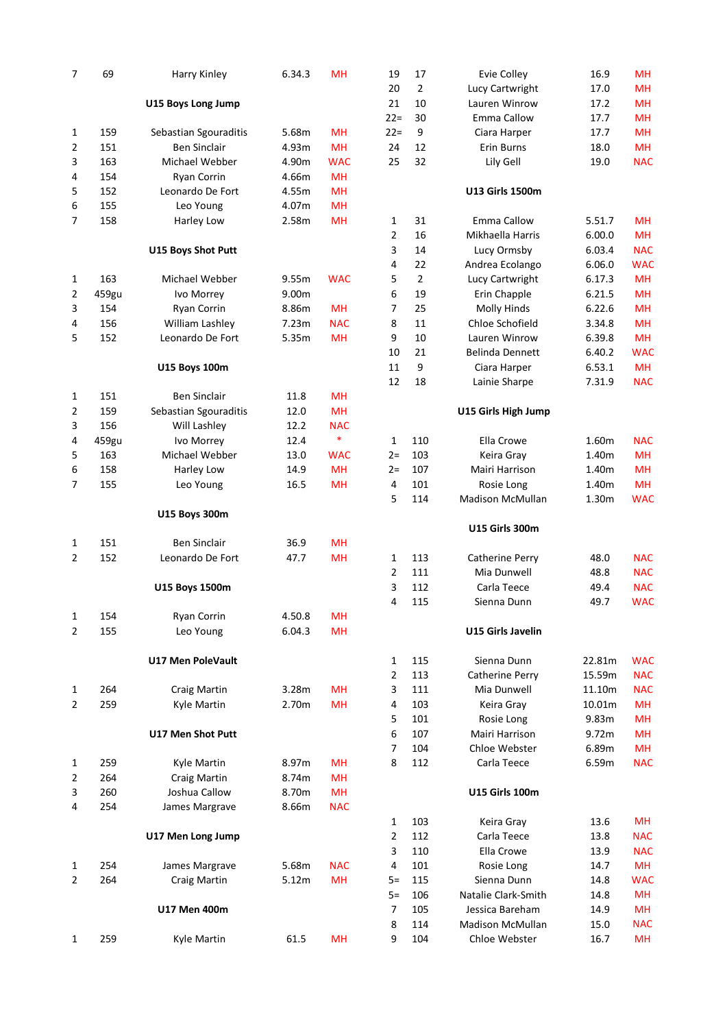| 7              | 69    | Harry Kinley              | 6.34.3 | MH         | 19             | 17             | Evie Colley              | 16.9   | MH         |
|----------------|-------|---------------------------|--------|------------|----------------|----------------|--------------------------|--------|------------|
|                |       |                           |        |            | 20             | $\overline{2}$ | Lucy Cartwright          | 17.0   | <b>MH</b>  |
|                |       | U15 Boys Long Jump        |        |            | 21             | 10             | Lauren Winrow            | 17.2   | <b>MH</b>  |
|                |       |                           |        |            | $22 =$         | 30             | <b>Emma Callow</b>       | 17.7   | <b>MH</b>  |
| 1              | 159   | Sebastian Sgouraditis     | 5.68m  | <b>MH</b>  | $22 =$         | 9              | Ciara Harper             | 17.7   | <b>MH</b>  |
| 2              | 151   | <b>Ben Sinclair</b>       | 4.93m  | <b>MH</b>  | 24             | 12             | Erin Burns               | 18.0   | <b>MH</b>  |
| 3              | 163   | Michael Webber            | 4.90m  | <b>WAC</b> | 25             | 32             | Lily Gell                | 19.0   | <b>NAC</b> |
| 4              | 154   | Ryan Corrin               | 4.66m  | <b>MH</b>  |                |                |                          |        |            |
| 5              | 152   | Leonardo De Fort          | 4.55m  | <b>MH</b>  |                |                | <b>U13 Girls 1500m</b>   |        |            |
| 6              | 155   | Leo Young                 | 4.07m  | MH         |                |                |                          |        |            |
| 7              | 158   | Harley Low                | 2.58m  | <b>MH</b>  |                | 31             | <b>Emma Callow</b>       | 5.51.7 | MH         |
|                |       |                           |        |            | 1              | 16             | Mikhaella Harris         |        | <b>MH</b>  |
|                |       |                           |        |            | 2              |                |                          | 6.00.0 |            |
|                |       | <b>U15 Boys Shot Putt</b> |        |            | 3              | 14             | Lucy Ormsby              | 6.03.4 | <b>NAC</b> |
|                |       |                           |        |            | 4              | 22             | Andrea Ecolango          | 6.06.0 | <b>WAC</b> |
| 1              | 163   | Michael Webber            | 9.55m  | <b>WAC</b> | 5              | $\overline{2}$ | Lucy Cartwright          | 6.17.3 | MH         |
| 2              | 459gu | Ivo Morrey                | 9.00m  |            | 6              | 19             | Erin Chapple             | 6.21.5 | MH         |
| 3              | 154   | Ryan Corrin               | 8.86m  | MH         | 7              | 25             | Molly Hinds              | 6.22.6 | MH         |
| 4              | 156   | William Lashley           | 7.23m  | <b>NAC</b> | 8              | 11             | Chloe Schofield          | 3.34.8 | MH         |
| 5              | 152   | Leonardo De Fort          | 5.35m  | <b>MH</b>  | 9              | 10             | Lauren Winrow            | 6.39.8 | MH         |
|                |       |                           |        |            | 10             | 21             | <b>Belinda Dennett</b>   | 6.40.2 | <b>WAC</b> |
|                |       | <b>U15 Boys 100m</b>      |        |            | 11             | 9              | Ciara Harper             | 6.53.1 | <b>MH</b>  |
|                |       |                           |        |            | 12             | 18             | Lainie Sharpe            | 7.31.9 | <b>NAC</b> |
| 1              | 151   | <b>Ben Sinclair</b>       | 11.8   | MH         |                |                |                          |        |            |
| 2              | 159   | Sebastian Sgouraditis     | 12.0   | MH         |                |                | U15 Girls High Jump      |        |            |
| 3              | 156   | Will Lashley              | 12.2   | <b>NAC</b> |                |                |                          |        |            |
| 4              | 459gu | Ivo Morrey                | 12.4   | $\ast$     | $\mathbf{1}$   | 110            | Ella Crowe               | 1.60m  | <b>NAC</b> |
| 5              | 163   | Michael Webber            | 13.0   | <b>WAC</b> | $2 =$          | 103            | Keira Gray               | 1.40m  | <b>MH</b>  |
| 6              | 158   | Harley Low                | 14.9   | MH         | $2 =$          | 107            | Mairi Harrison           | 1.40m  | <b>MH</b>  |
| 7              | 155   | Leo Young                 | 16.5   | <b>MH</b>  | 4              | 101            | Rosie Long               | 1.40m  | <b>MH</b>  |
|                |       |                           |        |            | 5              | 114            | <b>Madison McMullan</b>  | 1.30m  | <b>WAC</b> |
|                |       | U15 Boys 300m             |        |            |                |                |                          |        |            |
|                |       |                           |        |            |                |                | <b>U15 Girls 300m</b>    |        |            |
|                | 151   | <b>Ben Sinclair</b>       | 36.9   | MH         |                |                |                          |        |            |
| 1              |       |                           |        |            |                |                |                          |        |            |
| 2              | 152   | Leonardo De Fort          | 47.7   | MH         | 1              | 113            | Catherine Perry          | 48.0   | <b>NAC</b> |
|                |       |                           |        |            | 2              | 111            | Mia Dunwell              | 48.8   | <b>NAC</b> |
|                |       | U15 Boys 1500m            |        |            | 3              | 112            | Carla Teece              | 49.4   | <b>NAC</b> |
|                |       |                           |        |            | 4              | 115            | Sienna Dunn              | 49.7   | <b>WAC</b> |
| 1              | 154   | Ryan Corrin               | 4.50.8 | <b>MH</b>  |                |                |                          |        |            |
| 2              | 155   | Leo Young                 | 6.04.3 | <b>MH</b>  |                |                | <b>U15 Girls Javelin</b> |        |            |
|                |       |                           |        |            |                |                |                          |        |            |
|                |       | <b>U17 Men PoleVault</b>  |        |            | 1              | 115            | Sienna Dunn              | 22.81m | <b>WAC</b> |
|                |       |                           |        |            | 2              | 113            | Catherine Perry          | 15.59m | <b>NAC</b> |
| 1              | 264   | Craig Martin              | 3.28m  | MH         | 3              | 111            | Mia Dunwell              | 11.10m | <b>NAC</b> |
| $\overline{2}$ | 259   | Kyle Martin               | 2.70m  | MH         | 4              | 103            | Keira Gray               | 10.01m | <b>MH</b>  |
|                |       |                           |        |            | 5              | 101            | Rosie Long               | 9.83m  | <b>MH</b>  |
|                |       | <b>U17 Men Shot Putt</b>  |        |            | 6              | 107            | Mairi Harrison           | 9.72m  | <b>MH</b>  |
|                |       |                           |        |            | $\overline{7}$ | 104            | Chloe Webster            | 6.89m  | <b>MH</b>  |
| 1              | 259   | Kyle Martin               | 8.97m  | <b>MH</b>  | 8              | 112            | Carla Teece              | 6.59m  | <b>NAC</b> |
| 2              | 264   | Craig Martin              | 8.74m  | <b>MH</b>  |                |                |                          |        |            |
| 3              | 260   | Joshua Callow             | 8.70m  | <b>MH</b>  |                |                | <b>U15 Girls 100m</b>    |        |            |
| 4              | 254   | James Margrave            | 8.66m  | <b>NAC</b> |                |                |                          |        |            |
|                |       |                           |        |            | 1              | 103            | Keira Gray               | 13.6   | MН         |
|                |       | U17 Men Long Jump         |        |            | $\overline{2}$ | 112            | Carla Teece              | 13.8   | <b>NAC</b> |
|                |       |                           |        |            | 3              | 110            | Ella Crowe               | 13.9   | <b>NAC</b> |
|                |       |                           |        |            |                |                |                          |        |            |
| 1              | 254   | James Margrave            | 5.68m  | <b>NAC</b> | 4              | 101            | Rosie Long               | 14.7   | <b>MH</b>  |
| 2              | 264   | Craig Martin              | 5.12m  | <b>MH</b>  | $5=$           | 115            | Sienna Dunn              | 14.8   | <b>WAC</b> |
|                |       |                           |        |            | $5=$           | 106            | Natalie Clark-Smith      | 14.8   | <b>MH</b>  |
|                |       | <b>U17 Men 400m</b>       |        |            | $\overline{7}$ | 105            | Jessica Bareham          | 14.9   | <b>MH</b>  |
|                |       |                           |        |            | 8              | 114            | <b>Madison McMullan</b>  | 15.0   | <b>NAC</b> |
| 1              | 259   | Kyle Martin               | 61.5   | <b>MH</b>  | 9              | 104            | Chloe Webster            | 16.7   | <b>MH</b>  |